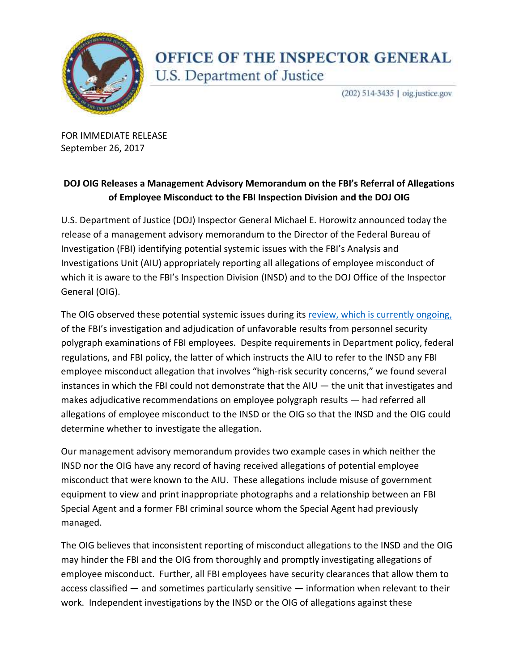

## OFFICE OF THE INSPECTOR GENERAL U.S. Department of Justice

(202) 514-3435 | oig.justice.gov

 FOR IMMEDIATE RELEASE September 26, 2017

## DOJ OIG Releases a Management Advisory Memorandum on the FBI's Referral of Allegations  **of Employee Misconduct to the FBI Inspection Division and the DOJ OIG**

 U.S. Department of Justice (DOJ) Inspector General Michael E. Horowitz announced today the release of a management advisory memorandum to the Director of the Federal Bureau of Investigation (FBI) identifying potential systemic issues with the FBI's Analysis and Investigations Unit (AIU) appropriately reporting all allegations of employee misconduct of which it is aware to the FBI's Inspection Division (INSD) and to the DOJ Office of the Inspector General (OIG).

The OIG observed these potential systemic issues during its **review, which is currently ongoing**, of the FBI's investigation and adjudication of unfavorable results from personnel security polygraph examinations of FBI employees. Despite requirements in Department policy, federal regulations, and FBI policy, the latter of which instructs the AIU to refer to the INSD any FBI employee misconduct allegation that involves "high-risk security concerns," we found several instances in which the FBI could not demonstrate that the AIU — the unit that investigates and makes adjudicative recommendations on employee polygraph results — had referred all allegations of employee misconduct to the INSD or the OIG so that the INSD and the OIG could determine whether to investigate the allegation.

 Our management advisory memorandum provides two example cases in which neither the INSD nor the OIG have any record of having received allegations of potential employee misconduct that were known to the AIU. These allegations include misuse of government equipment to view and print inappropriate photographs and a relationship between an FBI Special Agent and a former FBI criminal source whom the Special Agent had previously managed.

managed.<br>The OIG believes that inconsistent reporting of misconduct allegations to the INSD and the OIG may hinder the FBI and the OIG from thoroughly and promptly investigating allegations of employee misconduct. Further, all FBI employees have security clearances that allow them to access classified — and sometimes particularly sensitive — information when relevant to their work. Independent investigations by the INSD or the OIG of allegations against these